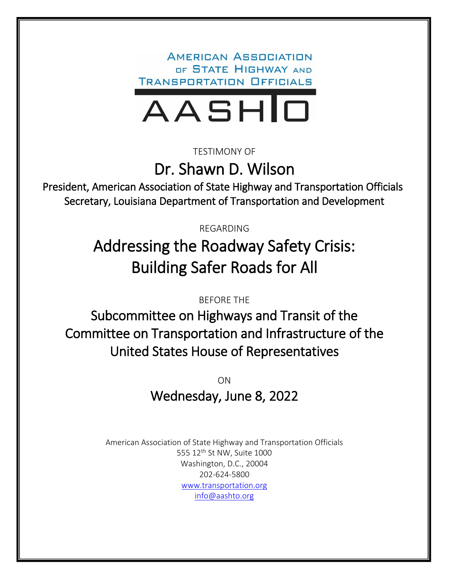**AMERICAN ASSOCIATION** OF STATE HIGHWAY AND **TRANSPORTATION OFFICIALS** 



TESTIMONY OF

Dr. Shawn D. Wilson

President, American Association of State Highway and Transportation Officials Secretary, Louisiana Department of Transportation and Development

REGARDING

# Addressing the Roadway Safety Crisis: Building Safer Roads for All

BEFORE THE

Subcommittee on Highways and Transit of the Committee on Transportation and Infrastructure of the United States House of Representatives

> ON Wednesday, June 8, 2022

American Association of State Highway and Transportation Officials 555 12<sup>th</sup> St NW, Suite 1000 Washington, D.C., 20004 202-624-5800 [www.transportation.org](http://www.transportation.org/) [info@aashto.org](mailto:info@aashto.org)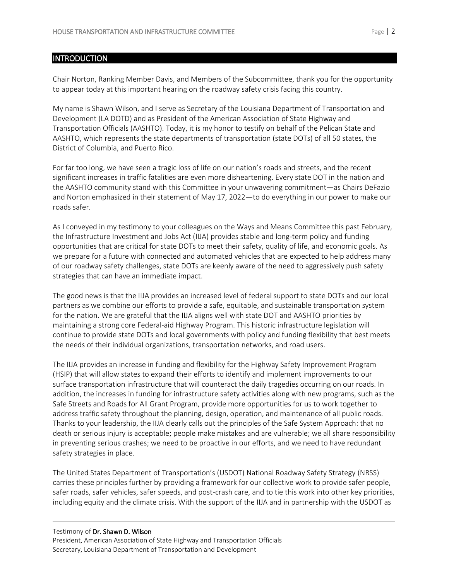## INTRODUCTION

Chair Norton, Ranking Member Davis, and Members of the Subcommittee, thank you for the opportunity to appear today at this important hearing on the roadway safety crisis facing this country.

My name is Shawn Wilson, and I serve as Secretary of the Louisiana Department of Transportation and Development (LA DOTD) and as President of the American Association of State Highway and Transportation Officials (AASHTO). Today, it is my honor to testify on behalf of the Pelican State and AASHTO, which represents the state departments of transportation (state DOTs) of all 50 states, the District of Columbia, and Puerto Rico.

For far too long, we have seen a tragic loss of life on our nation's roads and streets, and the recent significant increases in traffic fatalities are even more disheartening. Every state DOT in the nation and the AASHTO community stand with this Committee in your unwavering commitment—as Chairs DeFazio and Norton emphasized in their statement of May 17, 2022—to do everything in our power to make our roads safer.

As I conveyed in my testimony to your colleagues on the Ways and Means Committee this past February, the Infrastructure Investment and Jobs Act (IIJA) provides stable and long-term policy and funding opportunities that are critical for state DOTs to meet their safety, quality of life, and economic goals. As we prepare for a future with connected and automated vehicles that are expected to help address many of our roadway safety challenges, state DOTs are keenly aware of the need to aggressively push safety strategies that can have an immediate impact.

The good news is that the IIJA provides an increased level of federal support to state DOTs and our local partners as we combine our efforts to provide a safe, equitable, and sustainable transportation system for the nation. We are grateful that the IIJA aligns well with state DOT and AASHTO priorities by maintaining a strong core Federal-aid Highway Program. This historic infrastructure legislation will continue to provide state DOTs and local governments with policy and funding flexibility that best meets the needs of their individual organizations, transportation networks, and road users.

The IIJA provides an increase in funding and flexibility for the Highway Safety Improvement Program (HSIP) that will allow states to expand their efforts to identify and implement improvements to our surface transportation infrastructure that will counteract the daily tragedies occurring on our roads. In addition, the increases in funding for infrastructure safety activities along with new programs, such as the Safe Streets and Roads for All Grant Program, provide more opportunities for us to work together to address traffic safety throughout the planning, design, operation, and maintenance of all public roads. Thanks to your leadership, the IIJA clearly calls out the principles of the Safe System Approach: that no death or serious injury is acceptable; people make mistakes and are vulnerable; we all share responsibility in preventing serious crashes; we need to be proactive in our efforts, and we need to have redundant safety strategies in place.

The United States Department of Transportation's (USDOT) National Roadway Safety Strategy (NRSS) carries these principles further by providing a framework for our collective work to provide safer people, safer roads, safer vehicles, safer speeds, and post-crash care, and to tie this work into other key priorities, including equity and the climate crisis. With the support of the IIJA and in partnership with the USDOT as

## Testimony of Dr. Shawn D. Wilson President, American Association of State Highway and Transportation Officials Secretary, Louisiana Department of Transportation and Development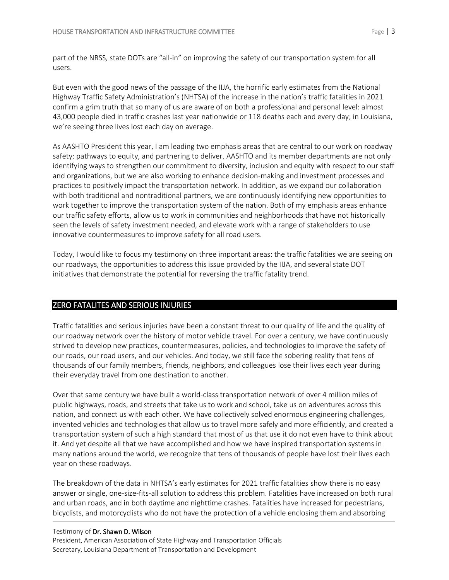part of the NRSS*,* state DOTs are "all-in" on improving the safety of our transportation system for all users.

But even with the good news of the passage of the IIJA, the horrific early estimates from the National Highway Traffic Safety Administration's (NHTSA) of the increase in the nation's traffic fatalities in 2021 confirm a grim truth that so many of us are aware of on both a professional and personal level: almost 43,000 people died in traffic crashes last year nationwide or 118 deaths each and every day; in Louisiana, we're seeing three lives lost each day on average.

As AASHTO President this year, I am leading two emphasis areas that are central to our work on roadway safety: [pathways to equity, and partnering to deliver.](https://www.transportation.org/wp-content/uploads/2021/10/21_22-Dr-Wilson-EA-brochure_web.pdf) AASHTO and its member departments are not only identifying ways to strengthen our commitment to diversity, inclusion and equity with respect to our staff and organizations, but we are also working to enhance decision-making and investment processes and practices to positively impact the transportation network. In addition, as we expand our collaboration with both traditional and nontraditional partners, we are continuously identifying new opportunities to work together to improve the transportation system of the nation. Both of my emphasis areas enhance our traffic safety efforts, allow us to work in communities and neighborhoods that have not historically seen the levels of safety investment needed, and elevate work with a range of stakeholders to use innovative countermeasures to improve safety for all road users.

Today, I would like to focus my testimony on three important areas: the traffic fatalities we are seeing on our roadways, the opportunities to address this issue provided by the IIJA, and several state DOT initiatives that demonstrate the potential for reversing the traffic fatality trend.

# ZERO FATALITES AND SERIOUS INJURIES

Traffic fatalities and serious injuries have been a constant threat to our quality of life and the quality of our roadway network over the history of motor vehicle travel. For over a century, we have continuously strived to develop new practices, countermeasures, policies, and technologies to improve the safety of our roads, our road users, and our vehicles. And today, we still face the sobering reality that tens of thousands of our family members, friends, neighbors, and colleagues lose their lives each year during their everyday travel from one destination to another.

Over that same century we have built a world-class transportation network of over 4 million miles of public highways, roads, and streets that take us to work and school, take us on adventures across this nation, and connect us with each other. We have collectively solved enormous engineering challenges, invented vehicles and technologies that allow us to travel more safely and more efficiently, and created a transportation system of such a high standard that most of us that use it do not even have to think about it. And yet despite all that we have accomplished and how we have inspired transportation systems in many nations around the world, we recognize that tens of thousands of people have lost their lives each year on these roadways.

The breakdown of the data in NHTSA's early estimates for 2021 traffic fatalities show there is no easy answer or single, one-size-fits-all solution to address this problem. Fatalities have increased on both rural and urban roads, and in both daytime and nighttime crashes. Fatalities have increased for pedestrians, bicyclists, and motorcyclists who do not have the protection of a vehicle enclosing them and absorbing

## Testimony of Dr. Shawn D. Wilson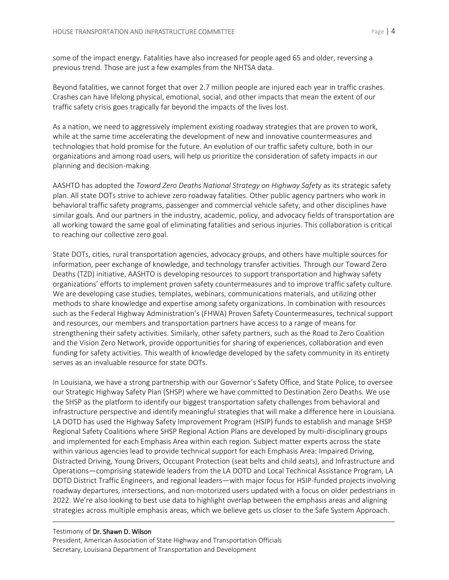some of the impact energy. Fatalities have also increased for people aged 65 and older, reversing a previous trend. Those are just a few examples from the NHTSA data.

Beyond fatalities, we cannot forget that over 2.7 million people are injured each year in traffic crashes. Crashes can have lifelong physical, emotional, social, and other impacts that mean the extent of our traffic safety crisis goes tragically far beyond the impacts of the lives lost.

As a nation, we need to aggressively implement existing roadway strategies that are proven to work, while at the same time accelerating the development of new and innovative countermeasures and technologies that hold promise for the future. An evolution of our traffic safety culture, both in our organizations and among road users, will help us prioritize the consideration of safety impacts in our planning and decision-making.

AASHTO has adopted the *Toward Zero Deaths National Strategy on Highway Safety* as its strategic safety plan. All state DOTs strive to achieve zero roadway fatalities. Other public agency partners who work in behavioral traffic safety programs, passenger and commercial vehicle safety, and other disciplines have similar goals. And our partners in the industry, academic, policy, and advocacy fields of transportation are all working toward the same goal of eliminating fatalities and serious injuries. This collaboration is critical to reaching our collective zero goal.

State DOTs, cities, rural transportation agencies, advocacy groups, and others have multiple sources for information, peer exchange of knowledge, and technology transfer activities. Through our Toward Zero Deaths (TZD) initiative, AASHTO is developing resources to support transportation and highway safety organizations' efforts to implement proven safety countermeasures and to improve traffic safety culture. We are developing case studies, templates, webinars, communications materials, and utilizing other methods to share knowledge and expertise among safety organizations. In combination with resources such as the Federal Highway Administration's (FHWA) Proven Safety Countermeasures, technical support and resources, our members and transportation partners have access to a range of means for strengthening their safety activities. Similarly, other safety partners, such as the Road to Zero Coalition and the Vision Zero Network, provide opportunities for sharing of experiences, collaboration and even funding for safety activities. This wealth of knowledge developed by the safety community in its entirety serves as an invaluable resource for state DOTs.

In Louisiana, we have a strong partnership with our Governor's Safety Office, and State Police, to oversee our Strategic Highway Safety Plan (SHSP) where we have committed to Destination Zero Deaths. We use the SHSP as the platform to identify our biggest transportation safety challenges from behavioral and infrastructure perspective and identify meaningful strategies that will make a difference here in Louisiana. LA DOTD has used the Highway Safety Improvement Program (HSIP) funds to establish and manage SHSP Regional Safety Coalitions where SHSP Regional Action Plans are developed by multi-disciplinary groups and implemented for each Emphasis Area within each region. Subject matter experts across the state within various agencies lead to provide technical support for each Emphasis Area: Impaired Driving, Distracted Driving, Young Drivers, Occupant Protection (seat belts and child seats), and Infrastructure and Operations—comprising statewide leaders from the LA DOTD and Local Technical Assistance Program, LA DOTD District Traffic Engineers, and regional leaders—with major focus for HSIP-funded projects involving roadway departures, intersections, and non-motorized users updated with a focus on older pedestrians in 2022. We're also looking to best use data to highlight overlap between the emphasis areas and aligning strategies across multiple emphasis areas, which we believe gets us closer to the Safe System Approach.

#### Testimony of Dr. Shawn D. Wilson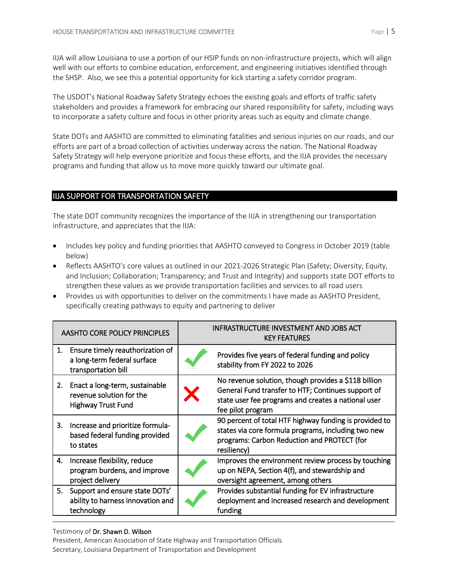IIJA will allow Louisiana to use a portion of our HSIP funds on non-infrastructure projects, which will align well with our efforts to combine education, enforcement, and engineering initiatives identified through the SHSP. Also, we see this a potential opportunity for kick starting a safety corridor program.

The USDOT's National Roadway Safety Strategy echoes the existing goals and efforts of traffic safety stakeholders and provides a framework for embracing our shared responsibility for safety, including ways to incorporate a safety culture and focus in other priority areas such as equity and climate change.

State DOTs and AASHTO are committed to eliminating fatalities and serious injuries on our roads, and our efforts are part of a broad collection of activities underway across the nation. The National Roadway Safety Strategy will help everyone prioritize and focus these efforts, and the IIJA provides the necessary programs and funding that allow us to move more quickly toward our ultimate goal.

# IIJA SUPPORT FOR TRANSPORTATION SAFETY

The state DOT community recognizes the importance of the IIJA in strengthening our transportation infrastructure, and appreciates that the IIJA:

- Includes key policy and funding priorities that AASHTO conveyed to Congress in October 2019 (table below)
- Reflects AASHTO's core values as outlined in our 2021-2026 Strategic Plan (Safety; Diversity, Equity, and Inclusion; Collaboration; Transparency; and Trust and Integrity) and supports state DOT efforts to strengthen these values as we provide transportation facilities and services to all road users
- Provides us with opportunities to deliver on the commitments I have made as AASHTO President, specifically creating pathways to equity and partnering to deliver

| <b>AASHTO CORE POLICY PRINCIPLES</b> |                                                                                         | INFRASTRUCTURE INVESTMENT AND JOBS ACT<br><b>KEY FEATURES</b> |                                                                                                                                                                                        |
|--------------------------------------|-----------------------------------------------------------------------------------------|---------------------------------------------------------------|----------------------------------------------------------------------------------------------------------------------------------------------------------------------------------------|
| 1.                                   | Ensure timely reauthorization of<br>a long-term federal surface<br>transportation bill  |                                                               | Provides five years of federal funding and policy<br>stability from FY 2022 to 2026                                                                                                    |
| 2.                                   | Enact a long-term, sustainable<br>revenue solution for the<br><b>Highway Trust Fund</b> |                                                               | No revenue solution, though provides a \$118 billion<br>General Fund transfer to HTF; Continues support of<br>state user fee programs and creates a national user<br>fee pilot program |
| 3.                                   | Increase and prioritize formula-<br>based federal funding provided<br>to states         |                                                               | 90 percent of total HTF highway funding is provided to<br>states via core formula programs, including two new<br>programs: Carbon Reduction and PROTECT (for<br>resiliency)            |
| 4.                                   | Increase flexibility, reduce<br>program burdens, and improve<br>project delivery        |                                                               | Improves the environment review process by touching<br>up on NEPA, Section 4(f), and stewardship and<br>oversight agreement, among others                                              |
| 5.                                   | Support and ensure state DOTs'<br>ability to harness innovation and<br>technology       |                                                               | Provides substantial funding for EV infrastructure<br>deployment and increased research and development<br>funding                                                                     |

#### Testimony of Dr. Shawn D. Wilson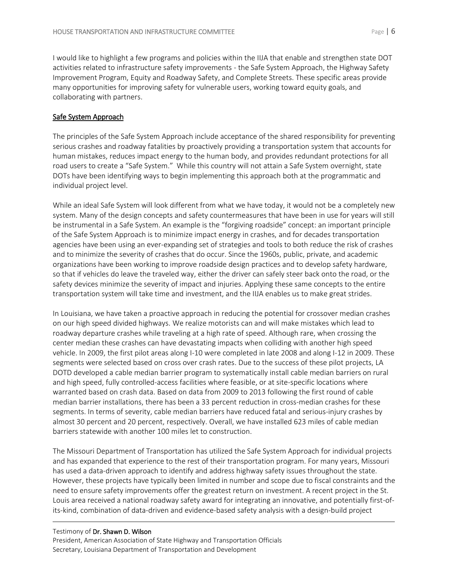I would like to highlight a few programs and policies within the IIJA that enable and strengthen state DOT activities related to infrastructure safety improvements - the Safe System Approach, the Highway Safety Improvement Program, Equity and Roadway Safety, and Complete Streets. These specific areas provide many opportunities for improving safety for vulnerable users, working toward equity goals, and collaborating with partners.

## Safe System Approach

The principles of the Safe System Approach include acceptance of the shared responsibility for preventing serious crashes and roadway fatalities by proactively providing a transportation system that accounts for human mistakes, reduces impact energy to the human body, and provides redundant protections for all road users to create a "Safe System." While this country will not attain a Safe System overnight, state DOTs have been identifying ways to begin implementing this approach both at the programmatic and individual project level.

While an ideal Safe System will look different from what we have today, it would not be a completely new system. Many of the design concepts and safety countermeasures that have been in use for years will still be instrumental in a Safe System. An example is the "forgiving roadside" concept: an important principle of the Safe System Approach is to minimize impact energy in crashes, and for decades transportation agencies have been using an ever-expanding set of strategies and tools to both reduce the risk of crashes and to minimize the severity of crashes that do occur. Since the 1960s, public, private, and academic organizations have been working to improve roadside design practices and to develop safety hardware, so that if vehicles do leave the traveled way, either the driver can safely steer back onto the road, or the safety devices minimize the severity of impact and injuries. Applying these same concepts to the entire transportation system will take time and investment, and the IIJA enables us to make great strides.

In Louisiana, we have taken a proactive approach in reducing the potential for crossover median crashes on our high speed divided highways. We realize motorists can and will make mistakes which lead to roadway departure crashes while traveling at a high rate of speed. Although rare, when crossing the center median these crashes can have devastating impacts when colliding with another high speed vehicle. In 2009, the first pilot areas along I-10 were completed in late 2008 and along I-12 in 2009. These segments were selected based on cross over crash rates. Due to the success of these pilot projects, LA DOTD developed a cable median barrier program to systematically install cable median barriers on rural and high speed, fully controlled-access facilities where feasible, or at site-specific locations where warranted based on crash data. Based on data from 2009 to 2013 following the first round of cable median barrier installations, there has been a 33 percent reduction in cross-median crashes for these segments. In terms of severity, cable median barriers have reduced fatal and serious-injury crashes by almost 30 percent and 20 percent, respectively. Overall, we have installed 623 miles of cable median barriers statewide with another 100 miles let to construction.

The Missouri Department of Transportation has utilized the Safe System Approach for individual projects and has expanded that experience to the rest of their transportation program. For many years, Missouri has used a data-driven approach to identify and address highway safety issues throughout the state. However, these projects have typically been limited in number and scope due to fiscal constraints and the need to ensure safety improvements offer the greatest return on investment. A recent project in the St. Louis area received a national roadway safety award for integrating an innovative, and potentially first-ofits-kind, combination of data-driven and evidence-based safety analysis with a design-build project

## Testimony of Dr. Shawn D. Wilson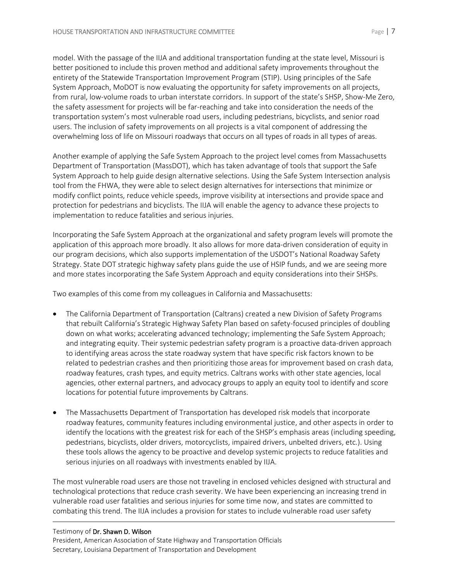model. With the passage of the IIJA and additional transportation funding at the state level, Missouri is better positioned to include this proven method and additional safety improvements throughout the entirety of the Statewide Transportation Improvement Program (STIP). Using principles of the Safe System Approach, MoDOT is now evaluating the opportunity for safety improvements on all projects, from rural, low-volume roads to urban interstate corridors. In support of the state's SHSP, Show-Me Zero, the safety assessment for projects will be far-reaching and take into consideration the needs of the transportation system's most vulnerable road users, including pedestrians, bicyclists, and senior road users. The inclusion of safety improvements on all projects is a vital component of addressing the overwhelming loss of life on Missouri roadways that occurs on all types of roads in all types of areas.

Another example of applying the Safe System Approach to the project level comes from Massachusetts Department of Transportation (MassDOT), which has taken advantage of tools that support the Safe System Approach to help guide design alternative selections. Using the Safe System Intersection analysis tool from the FHWA, they were able to select design alternatives for intersections that minimize or modify conflict points, reduce vehicle speeds, improve visibility at intersections and provide space and protection for pedestrians and bicyclists. The IIJA will enable the agency to advance these projects to implementation to reduce fatalities and serious injuries.

Incorporating the Safe System Approach at the organizational and safety program levels will promote the application of this approach more broadly. It also allows for more data-driven consideration of equity in our program decisions, which also supports implementation of the USDOT's National Roadway Safety Strategy. State DOT strategic highway safety plans guide the use of HSIP funds, and we are seeing more and more states incorporating the Safe System Approach and equity considerations into their SHSPs.

Two examples of this come from my colleagues in California and Massachusetts:

- The California Department of Transportation (Caltrans) created a new Division of Safety Programs that rebuilt California's Strategic Highway Safety Plan based on safety-focused principles of doubling down on what works; accelerating advanced technology; implementing the Safe System Approach; and integrating equity. Their systemic pedestrian safety program is a proactive data-driven approach to identifying areas across the state roadway system that have specific risk factors known to be related to pedestrian crashes and then prioritizing those areas for improvement based on crash data, roadway features, crash types, and equity metrics. Caltrans works with other state agencies, local agencies, other external partners, and advocacy groups to apply an equity tool to identify and score locations for potential future improvements by Caltrans.
- The Massachusetts Department of Transportation has developed risk models that incorporate roadway features, community features including environmental justice, and other aspects in order to identify the locations with the greatest risk for each of the SHSP's emphasis areas (including speeding, pedestrians, bicyclists, older drivers, motorcyclists, impaired drivers, unbelted drivers, etc.). Using these tools allows the agency to be proactive and develop systemic projects to reduce fatalities and serious injuries on all roadways with investments enabled by IIJA.

The most vulnerable road users are those not traveling in enclosed vehicles designed with structural and technological protections that reduce crash severity. We have been experiencing an increasing trend in vulnerable road user fatalities and serious injuries for some time now, and states are committed to combating this trend. The IIJA includes a provision for states to include vulnerable road user safety

## Testimony of Dr. Shawn D. Wilson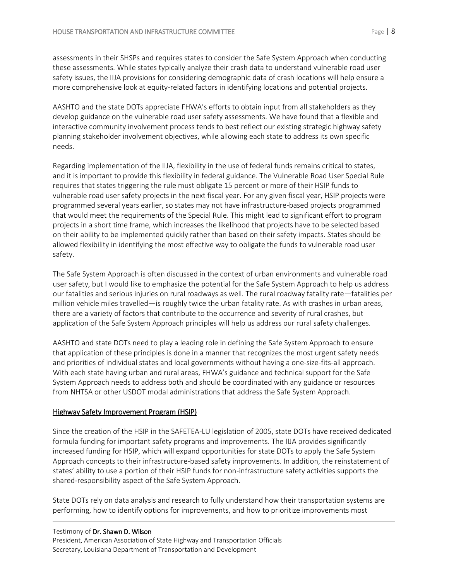assessments in their SHSPs and requires states to consider the Safe System Approach when conducting these assessments. While states typically analyze their crash data to understand vulnerable road user safety issues, the IIJA provisions for considering demographic data of crash locations will help ensure a more comprehensive look at equity-related factors in identifying locations and potential projects.

AASHTO and the state DOTs appreciate FHWA's efforts to obtain input from all stakeholders as they develop guidance on the vulnerable road user safety assessments. We have found that a flexible and interactive community involvement process tends to best reflect our existing strategic highway safety planning stakeholder involvement objectives, while allowing each state to address its own specific needs.

Regarding implementation of the IIJA, flexibility in the use of federal funds remains critical to states, and it is important to provide this flexibility in federal guidance. The Vulnerable Road User Special Rule requires that states triggering the rule must obligate 15 percent or more of their HSIP funds to vulnerable road user safety projects in the next fiscal year. For any given fiscal year, HSIP projects were programmed several years earlier, so states may not have infrastructure-based projects programmed that would meet the requirements of the Special Rule. This might lead to significant effort to program projects in a short time frame, which increases the likelihood that projects have to be selected based on their ability to be implemented quickly rather than based on their safety impacts. States should be allowed flexibility in identifying the most effective way to obligate the funds to vulnerable road user safety.

The Safe System Approach is often discussed in the context of urban environments and vulnerable road user safety, but I would like to emphasize the potential for the Safe System Approach to help us address our fatalities and serious injuries on rural roadways as well. The rural roadway fatality rate—fatalities per million vehicle miles travelled—is roughly twice the urban fatality rate. As with crashes in urban areas, there are a variety of factors that contribute to the occurrence and severity of rural crashes, but application of the Safe System Approach principles will help us address our rural safety challenges.

AASHTO and state DOTs need to play a leading role in defining the Safe System Approach to ensure that application of these principles is done in a manner that recognizes the most urgent safety needs and priorities of individual states and local governments without having a one-size-fits-all approach. With each state having urban and rural areas, FHWA's guidance and technical support for the Safe System Approach needs to address both and should be coordinated with any guidance or resources from NHTSA or other USDOT modal administrations that address the Safe System Approach.

## Highway Safety Improvement Program (HSIP)

Since the creation of the HSIP in the SAFETEA-LU legislation of 2005, state DOTs have received dedicated formula funding for important safety programs and improvements. The IIJA provides significantly increased funding for HSIP, which will expand opportunities for state DOTs to apply the Safe System Approach concepts to their infrastructure-based safety improvements. In addition, the reinstatement of states' ability to use a portion of their HSIP funds for non-infrastructure safety activities supports the shared-responsibility aspect of the Safe System Approach.

State DOTs rely on data analysis and research to fully understand how their transportation systems are performing, how to identify options for improvements, and how to prioritize improvements most

#### Testimony of Dr. Shawn D. Wilson President, American Association of State Highway and Transportation Officials Secretary, Louisiana Department of Transportation and Development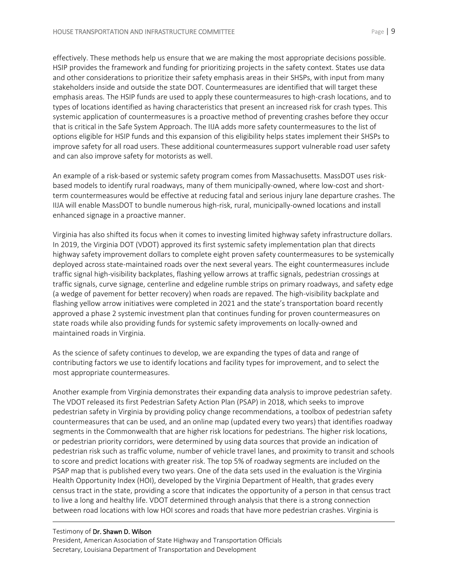effectively. These methods help us ensure that we are making the most appropriate decisions possible. HSIP provides the framework and funding for prioritizing projects in the safety context. States use data and other considerations to prioritize their safety emphasis areas in their SHSPs, with input from many stakeholders inside and outside the state DOT. Countermeasures are identified that will target these emphasis areas. The HSIP funds are used to apply these countermeasures to high-crash locations, and to types of locations identified as having characteristics that present an increased risk for crash types. This systemic application of countermeasures is a proactive method of preventing crashes before they occur that is critical in the Safe System Approach. The IIJA adds more safety countermeasures to the list of options eligible for HSIP funds and this expansion of this eligibility helps states implement their SHSPs to improve safety for all road users. These additional countermeasures support vulnerable road user safety and can also improve safety for motorists as well.

An example of a risk-based or systemic safety program comes from Massachusetts. MassDOT uses riskbased models to identify rural roadways, many of them municipally-owned, where low-cost and shortterm countermeasures would be effective at reducing fatal and serious injury lane departure crashes. The IIJA will enable MassDOT to bundle numerous high-risk, rural, municipally-owned locations and install enhanced signage in a proactive manner.

Virginia has also shifted its focus when it comes to investing limited highway safety infrastructure dollars. In 2019, the Virginia DOT (VDOT) approved its first systemic safety implementation plan that directs highway safety improvement dollars to complete eight proven safety countermeasures to be systemically deployed across state-maintained roads over the next several years. The eight countermeasures include traffic signal high-visibility backplates, flashing yellow arrows at traffic signals, pedestrian crossings at traffic signals, curve signage, centerline and edgeline rumble strips on primary roadways, and safety edge (a wedge of pavement for better recovery) when roads are repaved. The high-visibility backplate and flashing yellow arrow initiatives were completed in 2021 and the state's transportation board recently approved a phase 2 systemic investment plan that continues funding for proven countermeasures on state roads while also providing funds for systemic safety improvements on locally-owned and maintained roads in Virginia.

As the science of safety continues to develop, we are expanding the types of data and range of contributing factors we use to identify locations and facility types for improvement, and to select the most appropriate countermeasures.

Another example from Virginia demonstrates their expanding data analysis to improve pedestrian safety. The VDOT released its first Pedestrian Safety Action Plan (PSAP) in 2018, which seeks to improve pedestrian safety in Virginia by providing policy change recommendations, a toolbox of pedestrian safety countermeasures that can be used, and an online map (updated every two years) that identifies roadway segments in the Commonwealth that are higher risk locations for pedestrians. The higher risk locations, or pedestrian priority corridors, were determined by using data sources that provide an indication of pedestrian risk such as traffic volume, number of vehicle travel lanes, and proximity to transit and schools to score and predict locations with greater risk. The top 5% of roadway segments are included on the PSAP map that is published every two years. One of the data sets used in the evaluation is the Virginia Health Opportunity Index (HOI), developed by the Virginia Department of Health, that grades every census tract in the state, providing a score that indicates the opportunity of a person in that census tract to live a long and healthy life. VDOT determined through analysis that there is a strong connection between road locations with low HOI scores and roads that have more pedestrian crashes. Virginia is

#### Testimony of Dr. Shawn D. Wilson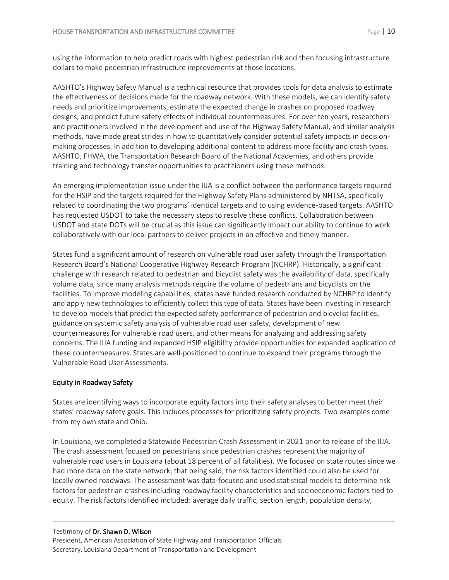using the information to help predict roads with highest pedestrian risk and then focusing infrastructure dollars to make pedestrian infrastructure improvements at those locations.

AASHTO's Highway Safety Manual is a technical resource that provides tools for data analysis to estimate the effectiveness of decisions made for the roadway network. With these models, we can identify safety needs and prioritize improvements, estimate the expected change in crashes on proposed roadway designs, and predict future safety effects of individual countermeasures. For over ten years, researchers and practitioners involved in the development and use of the Highway Safety Manual, and similar analysis methods, have made great strides in how to quantitatively consider potential safety impacts in decisionmaking processes. In addition to developing additional content to address more facility and crash types, AASHTO, FHWA, the Transportation Research Board of the National Academies, and others provide training and technology transfer opportunities to practitioners using these methods.

An emerging implementation issue under the IIJA is a conflict between the performance targets required for the HSIP and the targets required for the Highway Safety Plans administered by NHTSA, specifically related to coordinating the two programs' identical targets and to using evidence-based targets. AASHTO has requested USDOT to take the necessary steps to resolve these conflicts. Collaboration between USDOT and state DOTs will be crucial as this issue can significantly impact our ability to continue to work collaboratively with our local partners to deliver projects in an effective and timely manner.

States fund a significant amount of research on vulnerable road user safety through the Transportation Research Board's National Cooperative Highway Research Program (NCHRP). Historically, a significant challenge with research related to pedestrian and bicyclist safety was the availability of data, specifically volume data, since many analysis methods require the volume of pedestrians and bicyclists on the facilities. To improve modeling capabilities, states have funded research conducted by NCHRP to identify and apply new technologies to efficiently collect this type of data. States have been investing in research to develop models that predict the expected safety performance of pedestrian and bicyclist facilities, guidance on systemic safety analysis of vulnerable road user safety, development of new countermeasures for vulnerable road users, and other means for analyzing and addressing safety concerns. The IIJA funding and expanded HSIP eligibility provide opportunities for expanded application of these countermeasures. States are well-positioned to continue to expand their programs through the Vulnerable Road User Assessments.

## Equity in Roadway Safety

States are identifying ways to incorporate equity factors into their safety analyses to better meet their states' roadway safety goals. This includes processes for prioritizing safety projects. Two examples come from my own state and Ohio.

In Louisiana, we completed a Statewide Pedestrian Crash Assessment in 2021 prior to release of the IIJA. The crash assessment focused on pedestrians since pedestrian crashes represent the majority of vulnerable road users in Louisiana (about 18 percent of all fatalities). We focused on state routes since we had more data on the state network; that being said, the risk factors identified could also be used for locally owned roadways. The assessment was data-focused and used statistical models to determine risk factors for pedestrian crashes including roadway facility characteristics and socioeconomic factors tied to equity. The risk factors identified included: average daily traffic, section length, population density,

## Testimony of Dr. Shawn D. Wilson President, American Association of State Highway and Transportation Officials Secretary, Louisiana Department of Transportation and Development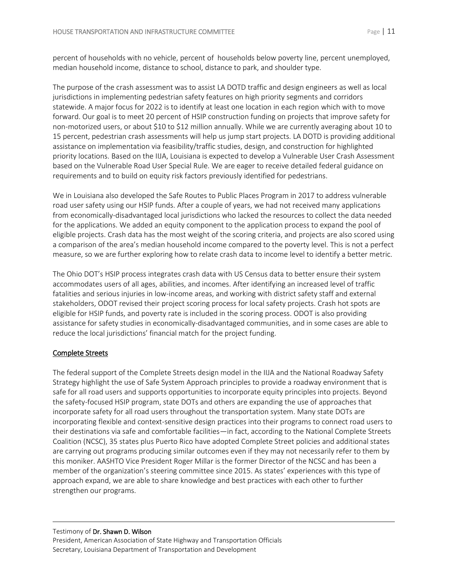percent of households with no vehicle, percent of households below poverty line, percent unemployed, median household income, distance to school, distance to park, and shoulder type.

The purpose of the crash assessment was to assist LA DOTD traffic and design engineers as well as local jurisdictions in implementing pedestrian safety features on high priority segments and corridors statewide. A major focus for 2022 is to identify at least one location in each region which with to move forward. Our goal is to meet 20 percent of HSIP construction funding on projects that improve safety for non-motorized users, or about \$10 to \$12 million annually. While we are currently averaging about 10 to 15 percent, pedestrian crash assessments will help us jump start projects. LA DOTD is providing additional assistance on implementation via feasibility/traffic studies, design, and construction for highlighted priority locations. Based on the IIJA, Louisiana is expected to develop a Vulnerable User Crash Assessment based on the Vulnerable Road User Special Rule. We are eager to receive detailed federal guidance on requirements and to build on equity risk factors previously identified for pedestrians.

We in Louisiana also developed the Safe Routes to Public Places Program in 2017 to address vulnerable road user safety using our HSIP funds. After a couple of years, we had not received many applications from economically-disadvantaged local jurisdictions who lacked the resources to collect the data needed for the applications. We added an equity component to the application process to expand the pool of eligible projects. Crash data has the most weight of the scoring criteria, and projects are also scored using a comparison of the area's median household income compared to the poverty level. This is not a perfect measure, so we are further exploring how to relate crash data to income level to identify a better metric.

The Ohio DOT's HSIP process integrates crash data with US Census data to better ensure their system accommodates users of all ages, abilities, and incomes. After identifying an increased level of traffic fatalities and serious injuries in low-income areas, and working with district safety staff and external stakeholders, ODOT revised their project scoring process for local safety projects. Crash hot spots are eligible for HSIP funds, and poverty rate is included in the scoring process. ODOT is also providing assistance for safety studies in economically-disadvantaged communities, and in some cases are able to reduce the local jurisdictions' financial match for the project funding.

## Complete Streets

The federal support of the Complete Streets design model in the IIJA and the National Roadway Safety Strategy highlight the use of Safe System Approach principles to provide a roadway environment that is safe for all road users and supports opportunities to incorporate equity principles into projects. Beyond the safety-focused HSIP program, state DOTs and others are expanding the use of approaches that incorporate safety for all road users throughout the transportation system. Many state DOTs are incorporating flexible and context-sensitive design practices into their programs to connect road users to their destinations via safe and comfortable facilities—in fact, according to the National Complete Streets Coalition (NCSC), 35 states plus Puerto Rico have adopted Complete Street policies and additional states are carrying out programs producing similar outcomes even if they may not necessarily refer to them by this moniker. AASHTO Vice President Roger Millar is the former Director of the NCSC and has been a member of the organization's steering committee since 2015. As states' experiences with this type of approach expand, we are able to share knowledge and best practices with each other to further strengthen our programs.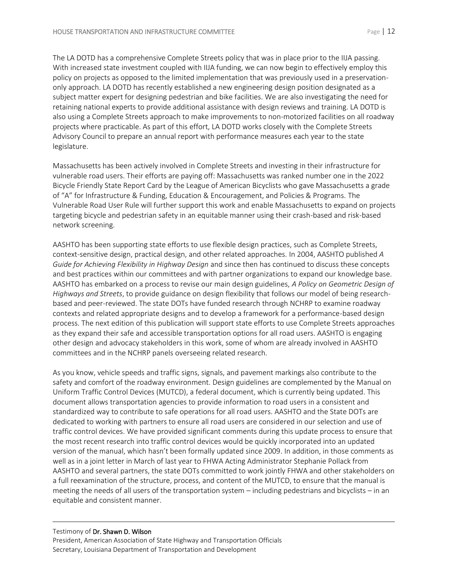The LA DOTD has a comprehensive Complete Streets policy that was in place prior to the IIJA passing. With increased state investment coupled with IIJA funding, we can now begin to effectively employ this policy on projects as opposed to the limited implementation that was previously used in a preservationonly approach. LA DOTD has recently established a new engineering design position designated as a subject matter expert for designing pedestrian and bike facilities. We are also investigating the need for retaining national experts to provide additional assistance with design reviews and training. LA DOTD is also using a Complete Streets approach to make improvements to non-motorized facilities on all roadway projects where practicable. As part of this effort, LA DOTD works closely with the Complete Streets Advisory Council to prepare an annual report with performance measures each year to the state legislature.

Massachusetts has been actively involved in Complete Streets and investing in their infrastructure for vulnerable road users. Their efforts are paying off: Massachusetts was ranked number one in the 2022 Bicycle Friendly State Report Card by the League of American Bicyclists who gave Massachusetts a grade of "A" for Infrastructure & Funding, Education & Encouragement, and Policies & Programs. The Vulnerable Road User Rule will further support this work and enable Massachusetts to expand on projects targeting bicycle and pedestrian safety in an equitable manner using their crash-based and risk-based network screening.

AASHTO has been supporting state efforts to use flexible design practices, such as Complete Streets, context-sensitive design, practical design, and other related approaches. In 2004, AASHTO published *A Guide for Achieving Flexibility in Highway Design* and since then has continued to discuss these concepts and best practices within our committees and with partner organizations to expand our knowledge base. AASHTO has embarked on a process to revise our main design guidelines, *A Policy on Geometric Design of Highways and Streets*, to provide guidance on design flexibility that follows our model of being researchbased and peer-reviewed. The state DOTs have funded research through NCHRP to examine roadway contexts and related appropriate designs and to develop a framework for a performance-based design process. The next edition of this publication will support state efforts to use Complete Streets approaches as they expand their safe and accessible transportation options for all road users. AASHTO is engaging other design and advocacy stakeholders in this work, some of whom are already involved in AASHTO committees and in the NCHRP panels overseeing related research.

As you know, vehicle speeds and traffic signs, signals, and pavement markings also contribute to the safety and comfort of the roadway environment. Design guidelines are complemented by the Manual on Uniform Traffic Control Devices (MUTCD), a federal document, which is currently being updated. This document allows transportation agencies to provide information to road users in a consistent and standardized way to contribute to safe operations for all road users. AASHTO and the State DOTs are dedicated to working with partners to ensure all road users are considered in our selection and use of traffic control devices. We have provided significant comments during this update process to ensure that the most recent research into traffic control devices would be quickly incorporated into an updated version of the manual, which hasn't been formally updated since 2009. In addition, in those comments as well as in a joint letter in March of last year to FHWA Acting Administrator Stephanie Pollack from AASHTO and several partners, the state DOTs committed to work jointly FHWA and other stakeholders on a full reexamination of the structure, process, and content of the MUTCD, to ensure that the manual is meeting the needs of all users of the transportation system – including pedestrians and bicyclists – in an equitable and consistent manner.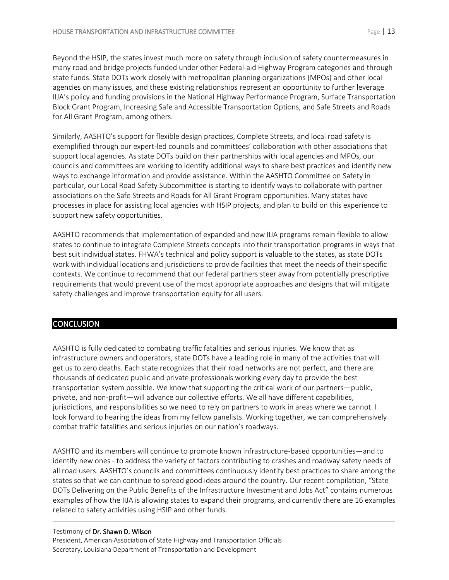Beyond the HSIP, the states invest much more on safety through inclusion of safety countermeasures in many road and bridge projects funded under other Federal-aid Highway Program categories and through state funds. State DOTs work closely with metropolitan planning organizations (MPOs) and other local agencies on many issues, and these existing relationships represent an opportunity to further leverage IIJA's policy and funding provisions in the National Highway Performance Program, Surface Transportation Block Grant Program, Increasing Safe and Accessible Transportation Options, and Safe Streets and Roads for All Grant Program, among others.

Similarly, AASHTO's support for flexible design practices, Complete Streets, and local road safety is exemplified through our expert-led councils and committees' collaboration with other associations that support local agencies. As state DOTs build on their partnerships with local agencies and MPOs, our councils and committees are working to identify additional ways to share best practices and identify new ways to exchange information and provide assistance. Within the AASHTO Committee on Safety in particular, our Local Road Safety Subcommittee is starting to identify ways to collaborate with partner associations on the Safe Streets and Roads for All Grant Program opportunities. Many states have processes in place for assisting local agencies with HSIP projects, and plan to build on this experience to support new safety opportunities.

AASHTO recommends that implementation of expanded and new IIJA programs remain flexible to allow states to continue to integrate Complete Streets concepts into their transportation programs in ways that best suit individual states. FHWA's technical and policy support is valuable to the states, as state DOTs work with individual locations and jurisdictions to provide facilities that meet the needs of their specific contexts. We continue to recommend that our federal partners steer away from potentially prescriptive requirements that would prevent use of the most appropriate approaches and designs that will mitigate safety challenges and improve transportation equity for all users.

## **CONCLUSION**

AASHTO is fully dedicated to combating traffic fatalities and serious injuries. We know that as infrastructure owners and operators, state DOTs have a leading role in many of the activities that will get us to zero deaths. Each state recognizes that their road networks are not perfect, and there are thousands of dedicated public and private professionals working every day to provide the best transportation system possible. We know that supporting the critical work of our partners—public, private, and non-profit—will advance our collective efforts. We all have different capabilities, jurisdictions, and responsibilities so we need to rely on partners to work in areas where we cannot. I look forward to hearing the ideas from my fellow panelists. Working together, we can comprehensively combat traffic fatalities and serious injuries on our nation's roadways.

AASHTO and its members will continue to promote known infrastructure-based opportunities—and to identify new ones - to address the variety of factors contributing to crashes and roadway safety needs of all road users. AASHTO's councils and committees continuously identify best practices to share among the states so that we can continue to spread good ideas around the country. Our recent compilation, "State DOTs Delivering on the Public Benefits of the Infrastructure Investment and Jobs Act" contains numerous examples of how the IIJA is allowing states to expand their programs, and currently there are 16 examples related to safety activities using HSIP and other funds.

## Testimony of Dr. Shawn D. Wilson